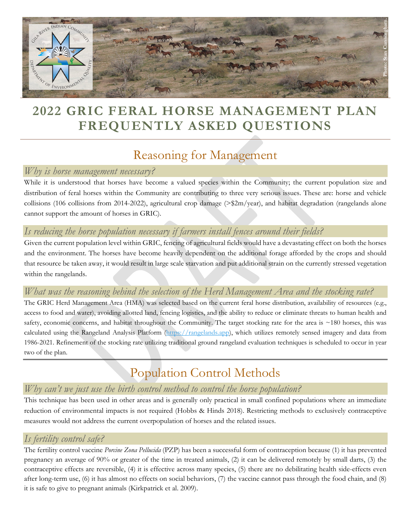

## **2022 GRIC FERAL HORSE MANAGEMENT PLAN FREQUENTLY ASKED QUESTIONS**

### Reasoning for Management

### *Why is horse management necessary?*

While it is understood that horses have become a valued species within the Community; the current population size and distribution of feral horses within the Community are contributing to three very serious issues. These are: horse and vehicle collisions (106 collisions from 2014-2022), agricultural crop damage (>\$2m/year), and habitat degradation (rangelands alone cannot support the amount of horses in GRIC).

### *Is reducing the horse population necessary if farmers install fences around their fields?*

Given the current population level within GRIC, fencing of agricultural fields would have a devastating effect on both the horses and the environment. The horses have become heavily dependent on the additional forage afforded by the crops and should that resource be taken away, it would result in large scale starvation and put additional strain on the currently stressed vegetation within the rangelands.

### *What was the reasoning behind the selection of the Herd Management Area and the stocking rate?*

The GRIC Herd Management Area (HMA) was selected based on the current feral horse distribution, availability of resources (e.g., access to food and water), avoiding allotted land, fencing logistics, and the ability to reduce or eliminate threats to human health and safety, economic concerns, and habitat throughout the Community. The target stocking rate for the area is ~180 horses, this was calculated using the Rangeland Analysis Platform (https://rangelands.app), which utilizes remotely sensed imagery and data from 1986-2021. Refinement of the stocking rate utilizing traditional ground rangeland evaluation techniques is scheduled to occur in year two of the plan.

# Population Control Methods

### *Why can't we just use the birth control method to control the horse population?*

This technique has been used in other areas and is generally only practical in small confined populations where an immediate reduction of environmental impacts is not required (Hobbs & Hinds 2018). Restricting methods to exclusively contraceptive measures would not address the current overpopulation of horses and the related issues.

### *Is fertility control safe?*

The fertility control vaccine *Porcine Zona Pellucida* (PZP) has been a successful form of contraception because (1) it has prevented pregnancy an average of 90% or greater of the time in treated animals, (2) it can be delivered remotely by small darts, (3) the contraceptive effects are reversible, (4) it is effective across many species, (5) there are no debilitating health side-effects even after long-term use, (6) it has almost no effects on social behaviors, (7) the vaccine cannot pass through the food chain, and (8) it is safe to give to pregnant animals (Kirkpatrick et al. 2009).